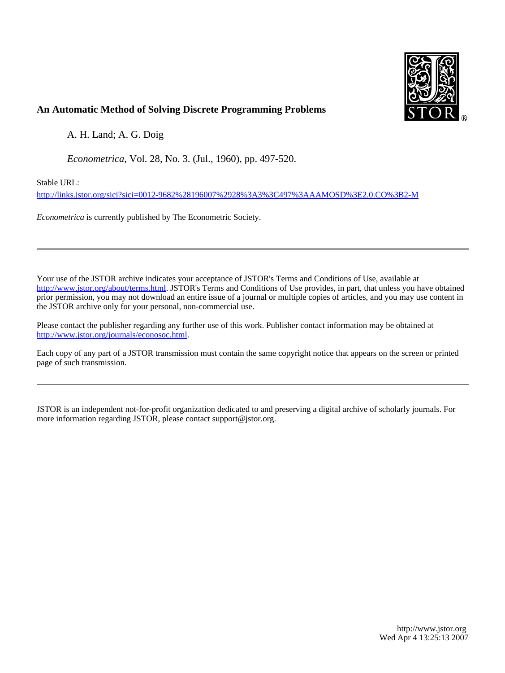

### **An Automatic Method of Solving Discrete Programming Problems**

A. H. Land; A. G. Doig

*Econometrica*, Vol. 28, No. 3. (Jul., 1960), pp. 497-520.

Stable URL:

<http://links.jstor.org/sici?sici=0012-9682%28196007%2928%3A3%3C497%3AAAMOSD%3E2.0.CO%3B2-M>

*Econometrica* is currently published by The Econometric Society.

Your use of the JSTOR archive indicates your acceptance of JSTOR's Terms and Conditions of Use, available at [http://www.jstor.org/about/terms.html.](http://www.jstor.org/about/terms.html) JSTOR's Terms and Conditions of Use provides, in part, that unless you have obtained prior permission, you may not download an entire issue of a journal or multiple copies of articles, and you may use content in the JSTOR archive only for your personal, non-commercial use.

Please contact the publisher regarding any further use of this work. Publisher contact information may be obtained at [http://www.jstor.org/journals/econosoc.html.](http://www.jstor.org/journals/econosoc.html)

Each copy of any part of a JSTOR transmission must contain the same copyright notice that appears on the screen or printed page of such transmission.

JSTOR is an independent not-for-profit organization dedicated to and preserving a digital archive of scholarly journals. For more information regarding JSTOR, please contact support@jstor.org.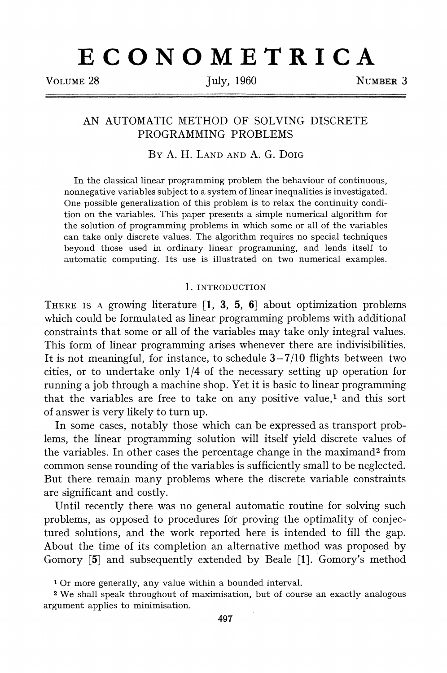# **ECONOMETRICA**

VOLUME 28 July, 1960 NUMBER 3

### AN AUTOMATIC METHOD OF SOLVING DISCRETE PROGRAMMING PROBLEMS

### BYA. H. LAND AND A. G. DOIG

In the classical linear programming problem the behaviour of continuous, nonnegative variables subject to a system of linear inequalities is investigated. One possible generalization of this problem is to relax the continuity condition on the variables. This paper presents a simple numerical algorithm for the solution of programming problems in which some or all of the variables can take only discrete values. The algorithm requires no special techniques beyond those used in ordinary linear programming, and lends itself to automatic computing. Its use is illustrated on two numerical examples.

### 1. INTRODUCTION

THEREIS A growing literature **[I, 3,** 5, **61** about optimization problems which could be formulated as linear programming problems with additional constraints that some or all of the variables may take only integral values. This form of linear programming arises whenever there are indivisibilities. It is not meaningful, for instance, to schedule  $3-7/10$  flights between two cities, or to undertake only  $1/4$  of the necessary setting up operation for running a job through a machine shop. Yet it is basic to linear programming that the variables are free to take on any positive value, $<sup>1</sup>$  and this sort</sup> of answer is very likely to turn up.

In some cases, notably those which can be expressed as transport problems, the linear programming solution will itself yield discrete values of the variables. In other cases the percentage change in the maximand2 from common sense rounding of the variables is sufficiently small to be neglected. But there remain many problems where the discrete variable constraints are significant and costly.

Until recently there was no general automatic routine for solving such problems, as opposed to procedures fo'r proving the optimality of conjectured solutions, and the work reported here is intended to fill the gap. About the time of its completion an alternative method was proposed by Gomory [5] and subsequently extended by Beale **[I].** Gomory's method

**<sup>1</sup>**Or more generally, any value within a bounded interval.

**<sup>2</sup>**We shall speak throughout of maximisation, but of course an exactly analogous argument applies to minimisation.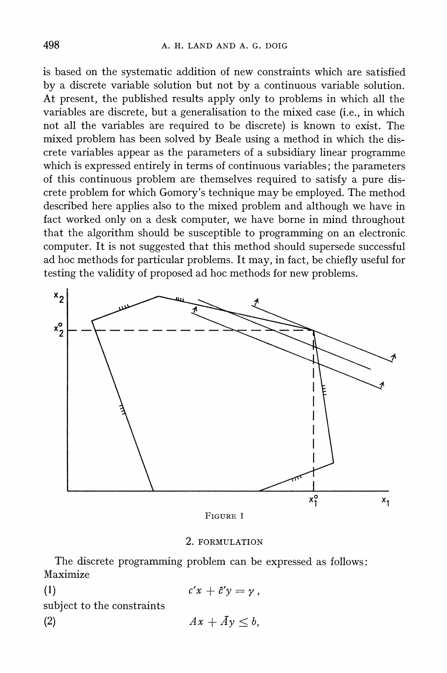is based on the systematic addition of new constraints which are satisfied by a discrete variable solution but not by a continuous variable solution. At present, the published results apply only to problems in which all the variables are discrete, but a generalisation to the mixed case (i.e., in which not all the variables are required to be discrete) is known to exist. The mixed problem has been solved by Beale using a method in which the discrete variables appear as the parameters of a subsidiary linear programme which is expressed entirely in terms of continuous variables; the parameters of this continuous problem are themselves required to satisfy a pure discrete problem for which Gomory's technique may be employed. The method described here applies also to the mixed problem and although we have in fact worked only on a desk computer, we have borne in mind throughout that the algorithm should be susceptible to programming on an electronic computer. It is not suggested that this method should supersede successful ad hoc methods for particular problems. It may, in fact, be chiefly useful for testing the validity of proposed ad hoc methods for new problems.



FIGURE 1

### 2. FORMULATION

The discrete programming problem can be expressed as follows: Maximize

(1)  $c'x + \bar{c}'y = y$ , subject to the constraints

(2)  $Ax + \bar{A}y < b$ ,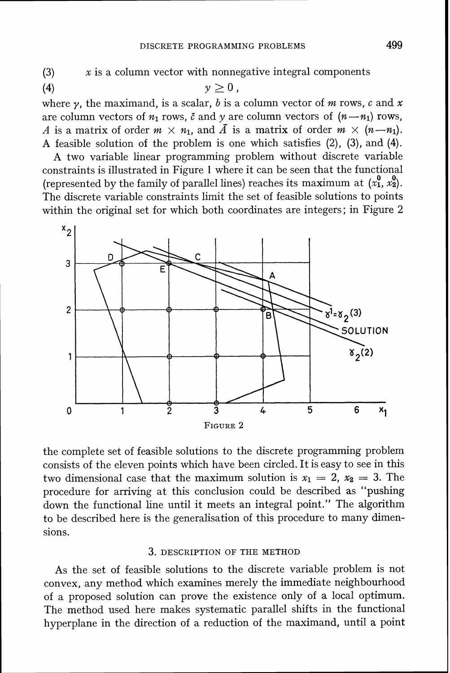(3)  $x$  is a column vector with nonnegative integral components<br>(4)  $y \ge 0$ ,

(4)  $y \ge 0$ ,<br>where  $\gamma$ , the maximand, is a scalar, *b* is a column vector of *m* rows, *c* and *x* are column vectors of  $n_1$  rows,  $\bar{c}$  and  $y$  are column vectors of  $(n-n_1)$  rows, A is a matrix of order  $m \times n_1$ , and  $\bar{A}$  is a matrix of order  $m \times (n-m_1)$ . A feasible solution of the problem is one which satisfies  $(2)$ ,  $(3)$ , and  $(4)$ .

A two variable linear programming problem without discrete variable constraints is illustrated in Figure 1 where it can be seen that the functional (represented by the family of parallel lines) reaches its maximum at  $(x_1^0, x_2^0)$ . The discrete variable constraints limit the set of feasible solutions to points within the original set for which both coordinates are integers; in Figure 2



the complete set of feasible solutions to the discrete programming problem consists of the eleven points which have been circled. It is easy to see in this two dimensional case that the maximum solution is  $x_1 = 2$ ,  $x_2 = 3$ . The procedure for arriving at this conclusion could be described as "pushing down the functional line until it meets an integral point." The algorithm to be described here is the generalisation of this procedure to many dimensions.

### 3. DESCRIPTION OF THE METHOD

As the set of feasible solutions to the discrete variable problem is not convex, any method which examines merely the immediate neighbourhood of a proposed solution can prove the existence only of a local optimum. The method used here makes systematic parallel shifts in the functional hyperplane in the direction of a reduction of the maximand, until a point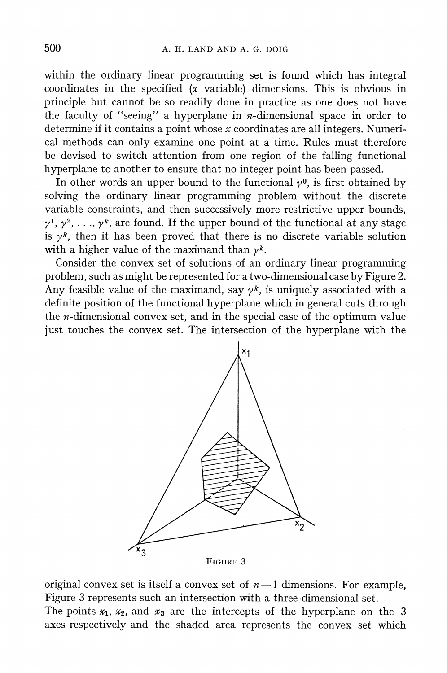within the ordinary linear programming set is found which has integral coordinates in the specified  $(x \text{ variable})$  dimensions. This is obvious in principle but cannot be so readily done in practice as one does not have the faculty of "seeing" a hyperplane in  $n$ -dimensional space in order to determine if it contains a point whose x coordinates are all integers. Numerical methods can only examine one point at a time. Rules must therefore be devised to switch attention from one region of the falling functional hyperplane to another to ensure that no integer point has been passed.

In other words an upper bound to the functional  $\nu^0$ , is first obtained by solving the ordinary linear programming problem without the discrete variable constraints, and then successively more restrictive upper bounds,  $y^1, y^2, \ldots, y^k$ , are found. If the upper bound of the functional at any stage is  $y^k$ , then it has been proved that there is no discrete variable solution with a higher value of the maximand than  $\gamma^k$ .

Consider the convex set of solutions of an ordinary linear programming problem, such as might be represented for a two-dimensional case by Figure 2. Any feasible value of the maximand, say  $\gamma^k$ , is uniquely associated with a definite position of the functional hyperplane which in general cuts through the n-dimensional convex set, and in the special case of the optimum value just touches the convex set. The intersection of the hyperplane with the



original convex set is itself a convex set of  $n-1$  dimensions. For example, Figure **3** represents such an intersection with a three-dimensional set.

The points  $x_1$ ,  $x_2$ , and  $x_3$  are the intercepts of the hyperplane on the 3 axes respectively and the shaded area represents the convex set which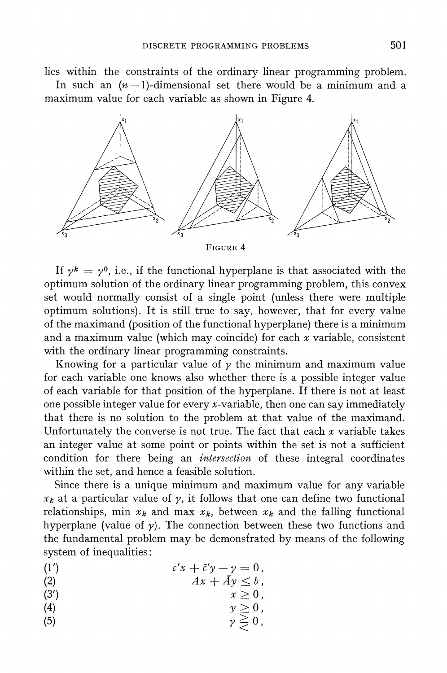lies within the constraints of the ordinary linear programming problem.

In such an  $(n-1)$ -dimensional set there would be a minimum and a maximum value for each variable as shown in Figure 4.



FIGURE 4

If  $\gamma^k = \gamma^0$ , i.e., if the functional hyperplane is that associated with the optimum solution of the ordinary linear programming problem, this convex set would normally consist of a single point (unless there were multiple optimum solutions). It is still true to say, however, that for every value of the maximand (position of the functional hyperplane) there is a minimum and a maximum value (which may coincide) for each  $x$  variable, consistent with the ordinary linear programming constraints.

Knowing for a particular value of  $\gamma$  the minimum and maximum value for each variable one knows also whether there is a possible integer value of each variable for that position of the hyperplane. If there is not at least one possible integer value for every x-variable, then one can say immediately that there is no solution to the problem at that value of the maximand. Unfortunately the converse is not true. The fact that each  $x$  variable takes an integer value at some point or points within the set is not a sufficient condition for there being an *intersection* of these integral coordinates within the set, and hence a feasible solution.

Since there is a unique minimum and maximum value for any variable  $x_k$  at a particular value of  $\gamma$ , it follows that one can define two functional relationships, min  $x_k$  and max  $x_k$ , between  $x_k$  and the falling functional hyperplane (value of  $\gamma$ ). The connection between these two functions and the fundamental problem may be demonstrated by means of the following system of inequalities :

(1')  $c'x + \bar{c}'y - y = 0,$ <br>(2)  $4x + \bar{d}y - y = 0,$ 

$$
Ax + Ay \leq b,
$$

- (3')  $x \geq 0$ ,
- (4)  $y \ge 0,$ <br>
(5)  $y \ge 0,$ <br>  $\gamma \ge 0,$ 
	-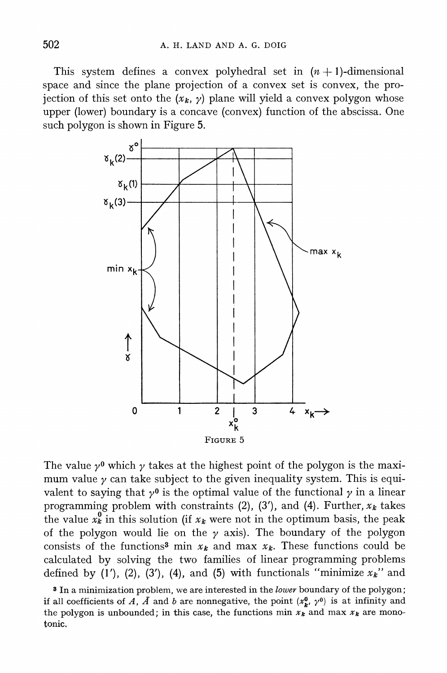This system defines a convex polyhedral set in  $(n + 1)$ -dimensional space and since the plane projection of a convex set is convex, the projection of this set onto the  $(x_k, y)$  plane will yield a convex polygon whose upper (lower) boundary is a concave (convex) function of the abscissa. One such polygon is shown in Figure 5.



The value  $\nu^0$  which  $\nu$  takes at the highest point of the polygon is the maximum value  $\gamma$  can take subject to the given inequality system. This is equivalent to saying that  $\gamma^0$  is the optimal value of the functional  $\gamma$  in a linear programming problem with constraints  $(2)$ ,  $(3')$ , and  $(4)$ . Further,  $x_k$  takes the value  $x_k^0$  in this solution (if  $x_k$  were not in the optimum basis, the peak of the polygon would lie on the  $\gamma$  axis). The boundary of the polygon consists of the functions<sup>3</sup> min  $x_k$  and max  $x_k$ . These functions could be calculated by solving the two families of linear programming problems defined by  $(1')$ ,  $(2)$ ,  $(3')$ ,  $(4)$ , and  $(5)$  with functionals "minimize  $x_k$ " and

In a minimization problem, we are interested in the **lower** boundary of the polygon; if all coefficients of A,  $\bar{A}$  and b are nonnegative, the point  $(x_k^0, y^0)$  is at infinity and the polygon is unbounded; in this case, the functions min  $x_k$  and max  $x_k$  are monotonic,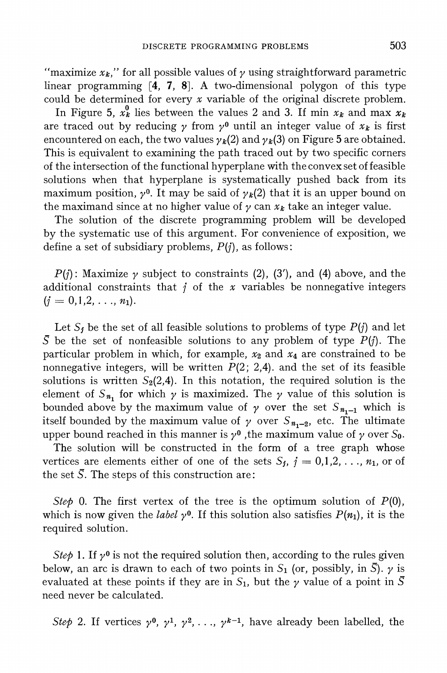*III,*  $x_k$ *, iii* for all possible values of  $\gamma$  using straightforward parametric linear programming [4, 7, **81.** A two-dimensional polygon of this type could be determined for every *x* variable of the original discrete problem.

In Figure 5,  $x_k^0$  lies between the values 2 and 3. If min  $x_k$  and max  $x_k$ are traced out by reducing  $\gamma$  from  $\gamma^0$  until an integer value of  $x_k$  is first encountered on each, the two values  $\gamma_k(2)$  and  $\gamma_k(3)$  on Figure 5 are obtained. This is equivalent to examining the path traced out by two specific corners of the intersection of the functional hyperplane with the convex set of feasible solutions when that hyperplane is systematically pushed back from its maximum position,  $\gamma^0$ . It may be said of  $\gamma_k(2)$  that it is an upper bound on the maximand since at no higher value of  $\gamma$  can  $x_k$  take an integer value.

The solution of the discrete programming problem will be developed by the systematic use of this argument. For convenience of exposition, we define a set of subsidiary problems, *P(j),*as follows:

*P(i)*: Maximize  $\gamma$  subject to constraints (2), (3'), and (4) above, and the additional constraints that  $j$  of the  $x$  variables be nonnegative integers  $(j = 0, 1, 2, \ldots, n_1).$ 

Let  $S_j$  be the set of all feasible solutions to problems of type  $P(j)$  and let  $\overline{S}$  be the set of nonfeasible solutions to any problem of type  $P(j)$ . The particular problem in which, for example,  $x_2$  and  $x_4$  are constrained to be nonnegative integers, will be written *P(2; 2,4).* and the set of its feasible solutions is written  $S_2(2,4)$ . In this notation, the required solution is the element of  $S_{n_1}$  for which  $\gamma$  is maximized. The  $\gamma$  value of this solution is bounded above by the maximum value of  $\gamma$  over the set  $S_{n_{1}-1}$  which is itself bounded by the maximum value of  $\gamma$  over  $S_{n,-2}$ , etc. The ultimate upper bound reached in this manner is  $\gamma^0$ , the maximum value of  $\gamma$  over  $S_0$ .

The solution will be constructed in the form of a tree graph whose vertices are elements either of one of the sets  $S_j$ ,  $j = 0,1,2, \ldots, n_1$ , or of the set  $\overline{S}$ . The steps of this construction are:

*Step* 0. The first vertex of the tree is the optimum solution of  $P(0)$ , which is now given the *label*  $\gamma^0$ . If this solution also satisfies  $P(n_1)$ , it is the required solution.

*Step* 1. If  $\gamma^0$  is not the required solution then, according to the rules given below, an arc is drawn to each of two points in  $S_1$  (or, possibly, in  $\overline{S}$ ).  $\gamma$  is evaluated at these points if they are in  $S_1$ , but the  $\gamma$  value of a point in  $\overline{S}$ need never be calculated.

*Step 2.* If vertices  $\gamma^0$ ,  $\gamma^1$ ,  $\gamma^2$ , ...,  $\gamma^{k-1}$ , have already been labelled, the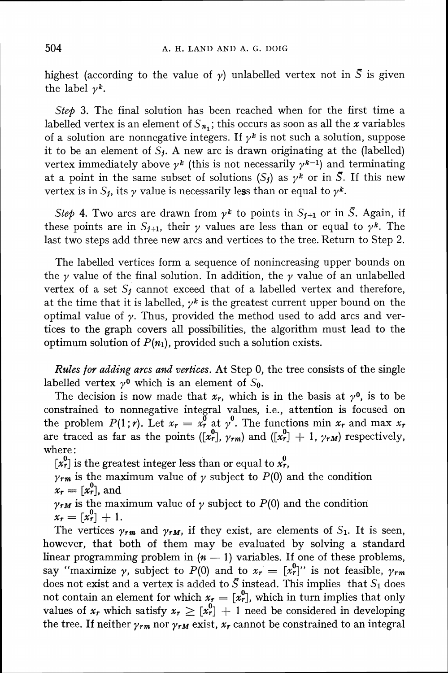highest (according to the value of  $\gamma$ ) unlabelled vertex not in *S* is given the label  $\nu^k$ .

Step 3. The final solution has been reached when for the first time a labelled vertex is an element of  $S_{n_i}$ ; this occurs as soon as all the x variables of a solution are nonnegative integers. If  $\gamma^k$  is not such a solution, suppose it to be an element of  $S_i$ . A new arc is drawn originating at the (labelled) vertex immediately above  $\gamma^k$  (this is not necessarily  $\gamma^{k-1}$ ) and terminating at a point in the same subset of solutions  $(S_i)$  as  $\gamma^k$  or in  $\overline{S}$ . If this new vertex is in  $S_j$ , its  $\gamma$  value is necessarily less than or equal to  $\gamma^k$ .

Step 4. Two arcs are drawn from  $\gamma^k$  to points in  $S_{j+1}$  or in  $\bar{S}$ . Again, if these points are in  $S_{j+1}$ , their  $\gamma$  values are less than or equal to  $\gamma^k$ . The last two steps add three new arcs and vertices to the tree. Return to Step 2.

The labelled vertices form a sequence of nonincreasing upper bounds on the  $\gamma$  value of the final solution. In addition, the  $\gamma$  value of an unlabelled vertex of a set  $S_j$  cannot exceed that of a labelled vertex and therefore, at the time that it is labelled,  $\gamma^k$  is the greatest current upper bound on the optimal value of  $\gamma$ . Thus, provided the method used to add arcs and vertices to the graph covers all possibilities, the algorithm must lead to the optimum solution of  $P(n_1)$ , provided such a solution exists.

Rules *for* adding arcs and vertices. At Step 0, the tree consists of the single labelled vertex  $\gamma^0$  which is an element of  $S_0$ .

The decision is now made that  $x_r$ , which is in the basis at  $\gamma^0$ , is to be constrained to nonnegative integral values, i.e., attention is focused on the problem  $P(1; r)$ . Let  $x_r = x_r^0$  at  $\gamma^0$ . The functions min  $x_r$  and max  $x_r$ are traced as far as the points  $([x_r^0], y_{rm})$  and  $([x_r^0] + 1, y_{rm})$  respectively, where :

 $[x_r^0]$  is the greatest integer less than or equal to  $x_r^0$ ,

 $\gamma_{rm}$  is the maximum value of  $\gamma$  subject to  $P(0)$  and the condition  $x_r = [x_r^0]$ , and

 $\gamma_{rM}$  is the maximum value of  $\gamma$  subject to  $P(0)$  and the condition  $x_r = [x_r^0] + 1.$ 

The vertices  $\gamma_{rm}$  and  $\gamma_{rm}$ , if they exist, are elements of  $S_1$ . It is seen, however, that both of them may be evaluated by solving a standard linear programming problem in  $(n - 1)$  variables. If one of these problems, linear programming problem in  $(n - 1)$  variables. If one of these problems,<br>say "maximize  $\gamma$ , subject to  $P(0)$  and to  $x_r = [x_r^0]$ " is not feasible,  $\gamma_{rm}$ does not exist and a vertex is added to  $\overline{S}$  instead. This implies that  $S_1$  does not contain an element for which  $x_r = [x_r^0]$ , which in turn implies that only values of  $x_r$  which satisfy  $x_r \geq [x_r^0] + 1$  need be considered in developing the tree. If neither  $\gamma_{rm}$  nor  $\gamma_{rm}$  exist,  $x_r$  cannot be constrained to an integral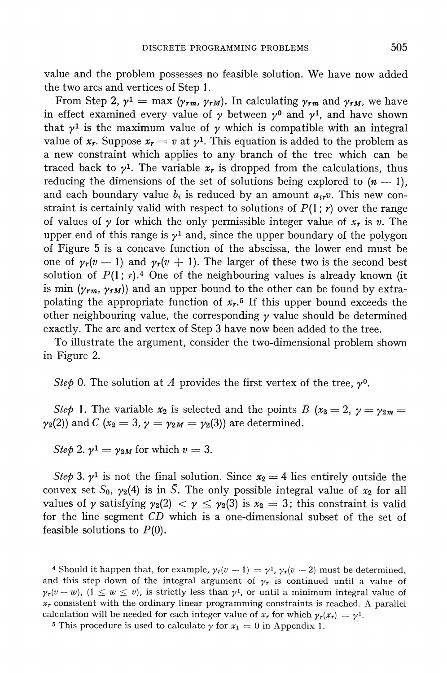value and the problem possesses no feasible solution. We have now added the two arcs and vertices of Step *1.* 

From Step 2,  $\gamma^1 = \max (\gamma_{rm}, \gamma_{rM})$ . In calculating  $\gamma_{rm}$  and  $\gamma_{rM}$ , we have in effect examined every value of  $\gamma$  between  $\gamma^0$  and  $\gamma^1$ , and have shown that  $\gamma^1$  is the maximum value of  $\gamma$  which is compatible with an integral value of  $x_r$ . Suppose  $x_r = v$  at  $y^1$ . This equation is added to the problem as a new constraint which applies to any branch of the tree which can be traced back to  $\gamma^1$ . The variable  $x_r$  is dropped from the calculations, thus reducing the dimensions of the set of solutions being explored to  $(n - 1)$ , and each boundary value  $b_i$  is reduced by an amount  $a_{ir}v$ . This new constraint is certainly valid with respect to solutions of  $P(1; r)$  over the range of values of  $\gamma$  for which the only permissible integer value of  $x_r$  is  $v$ . The upper end of this range is  $\gamma^1$  and, since the upper boundary of the polygon of Figure 5 is a concave function of the abscissa, the lower end must be one of  $\gamma_r(v-1)$  and  $\gamma_r(v+1)$ . The larger of these two is the second best solution of  $P(1; \gamma)$ .<sup>4</sup> One of the neighbouring values is already known (it is min  $(\gamma_{rm}, \gamma_{rm})$  and an upper bound to the other can be found by extrapolating the appropriate function of  $x_r$ <sup>5</sup> If this upper bound exceeds the other neighbouring value, the corresponding  $\gamma$  value should be determined exactly. The arc and vertex of Step *3* have now been added to the tree.

To illustrate the argument, consider the two-dimensional problem shown in Figure *2.* 

*Step 0.* The solution at *A* provides the first vertex of the tree,  $\gamma^0$ .

*Step* 1. The variable  $x_2$  is selected and the points B ( $x_2 = 2$ ,  $y = y_2$ m =  $\gamma_2(2)$  and *C* ( $x_2 = 3$ ,  $\gamma = \gamma_2M = \gamma_2(3)$ ) are determined.

*Step* 2.  $\gamma^1 = \gamma_{2M}$  for which  $v = 3$ .

*Step* 3.  $\gamma^1$  is not the final solution. Since  $x_2 = 4$  lies entirely outside the convex set  $S_0$ ,  $\gamma_2(4)$  is in  $\overline{S}$ . The only possible integral value of  $x_2$  for all values of *y* satisfying  $\gamma_2(2) < \gamma \leq \gamma_2(3)$  is  $x_2 = 3$ ; this constraint is valid for the line segment CD which is a one-dimensional subset of the set of feasible solutions to *P(0).* 

4 Should it happen that, for example,  $\gamma_r(v-1) = \gamma^1$ ,  $\gamma_r(v-2)$  must be determined, and this step down of the integral argument of  $\gamma_r$  is continued until a value of  $\gamma_r(v-w)$ ,  $(1 \le w \le v)$ , is strictly less than  $\gamma^1$ , or until a minimum integral value of  $x_r$  consistent with the ordinary linear programming constraints is reached. A parallel calculation will be needed for each integer value of  $x_r$  for which  $\gamma_r(x_r) = \gamma^1$ .

<sup>5</sup> This procedure is used to calculate  $\gamma$  for  $x_1 = 0$  in Appendix 1.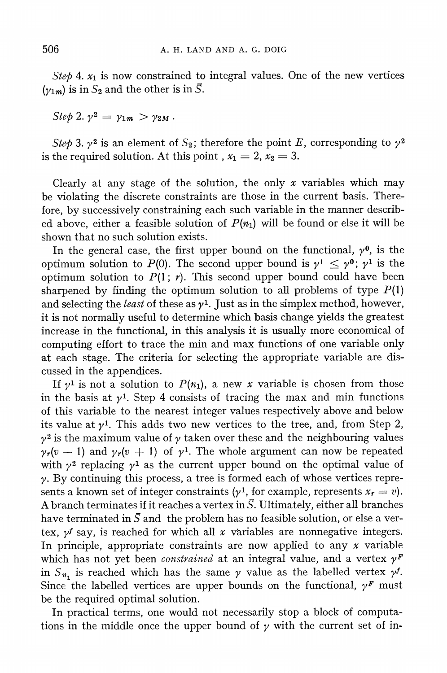*Step* 4,  $x_1$  is now constrained to integral values. One of the new vertices  $(y_{1m})$  is in  $S_2$  and the other is in  $\overline{S}$ .

*Step 2.*  $\gamma^2 = \gamma_{1m} > \gamma_{2M}$ .

*Step* 3.  $\gamma^2$  is an element of  $S_2$ ; therefore the point E, corresponding to  $\gamma^2$ is the required solution. At this point ,  $x_1 = 2$ ,  $x_2 = 3$ .

Clearly at any stage of the solution, the only *x* variables which may be violating the discrete constraints are those in the current basis. Therefore, by successively constraining each such variable in the manner described above, either a feasible solution of  $P(n_1)$  will be found or else it will be shown that no such solution exists.

In the general case, the first upper bound on the functional,  $\gamma^0$ , is the optimum solution to  $P(0)$ . The second upper bound is  $\gamma^1 \leq \gamma^0$ ;  $\gamma^1$  is the optimum solution to  $P(1; r)$ . This second upper bound could have been sharpened by finding the optimum solution to all problems of type  $P(1)$ and selecting the *least* of these as  $\gamma$ <sup>1</sup>. Just as in the simplex method, however, it is not normally useful to determine which basis change yields the greatest increase in the functional, in this analysis it is usually more economical of computing effort to trace the min and max functions of one variable only at each stage. The criteria for selecting the appropriate variable are discussed in the appendices.

If  $\gamma^1$  is not a solution to  $P(n_1)$ , a new x variable is chosen from those in the basis at  $\gamma^1$ . Step 4 consists of tracing the max and min functions of this variable to the nearest integer values respectively above and below its value at  $\nu^1$ . This adds two new vertices to the tree, and, from Step 2,  $y^2$  is the maximum value of  $y$  taken over these and the neighbouring values  $\gamma_r(v-1)$  and  $\gamma_r(v+1)$  of  $\gamma^1$ . The whole argument can now be repeated with  $\gamma^2$  replacing  $\gamma^1$  as the current upper bound on the optimal value of  $\gamma$ . By continuing this process, a tree is formed each of whose vertices represents a known set of integer constraints  $(y^1)$ , for example, represents  $x_r = v$ . A branch terminates if it reaches a vertex in  $\overline{S}$ . Ultimately, either all branches have terminated in  $\overline{S}$  and the problem has no feasible solution, or else a vertex,  $y^f$  say, is reached for which all  $x$  variables are nonnegative integers. In principle, appropriate constraints are now applied to any *x* variable which has not yet been *constrained* at an integral value, and a vertex  $\gamma^F$ in  $S_{n_1}$  is reached which has the same  $\gamma$  value as the labelled vertex  $\gamma^f$ . Since the labelled vertices are upper bounds on the functional,  $\gamma^F$  must be the required optimal solution.

In practical terms, one would not necessarily stop a block of computations in the middle once the upper bound of  $\gamma$  with the current set of in-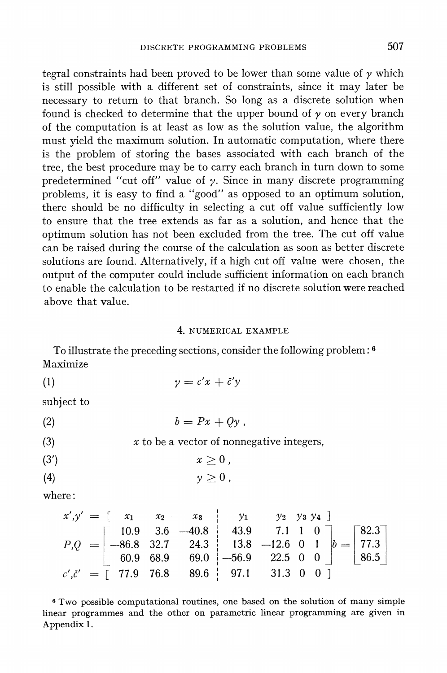tegral constraints had been proved to be lower than some value of  $\gamma$  which is still possible with a different set of constraints, since it may later be necessary to return to that branch. So long as a discrete solution when found is checked to determine that the upper bound of  $\nu$  on every branch of the computation is at least as low as the solution value, the algorithm must yield the maximum solution. In automatic computation, where there is the problem of storing the bases associated with each branch of the tree, the best procedure may be to carry each branch in turn down to some predetermined "cut off" value of  $\gamma$ . Since in many discrete programming problems, it is easy to find a "good" as opposed to an optimum solution, there should be no difficulty in selecting a cut off value sufficiently low to ensure that the tree extends as far as a solution, and hence that the optimum solution has not been excluded from the tree. The cut off value can be raised during the course of the calculation as soon as better discrete solutions are found. Alternatively, if a high cut off value were chosen, the output of the computer could include sufficient information on each branch to enable the calculation to be restarted if no discrete solution were reached above that value.

#### 4. NUMERICAL EXAMPLE

To illustrate the preceding sections, consider the following problem: **<sup>6</sup>** Maximize

$$
\gamma = c'x + \tilde{c}'y
$$

subject to

$$
(2) \t\t b = Px + Qy,
$$

$$
(3) \t x to be a vector of nonnegative integers,
$$

$$
(3') \t\t x \geq 0,
$$

$$
(4) \t\t\t y \geq 0,
$$

where :

$$
x',y' = \begin{bmatrix} x_1 & x_2 & x_3 & y_1 & y_2 & y_3 & y_4 \end{bmatrix}
$$
  
\n
$$
P,Q = \begin{bmatrix} 10.9 & 3.6 & -40.8 & 43.9 & 7.1 & 1 & 0 \\ -86.8 & 32.7 & 24.3 & 13.8 & -12.6 & 0 & 1 \\ 60.9 & 68.9 & 69.0 & -56.9 & 22.5 & 0 & 0 \end{bmatrix} = \begin{bmatrix} 82.3 \\ 77.3 \\ 86.5 \end{bmatrix}
$$
  
\n
$$
c',\bar{c}' = \begin{bmatrix} 77.9 & 76.8 & 89.6 & 97.1 & 31.3 & 0 & 0 \end{bmatrix}
$$

*<sup>6</sup>*Two possible computational routines, one based on the solution of many simple linear programmes and the other on parametric linear programming are given in Appendix 1.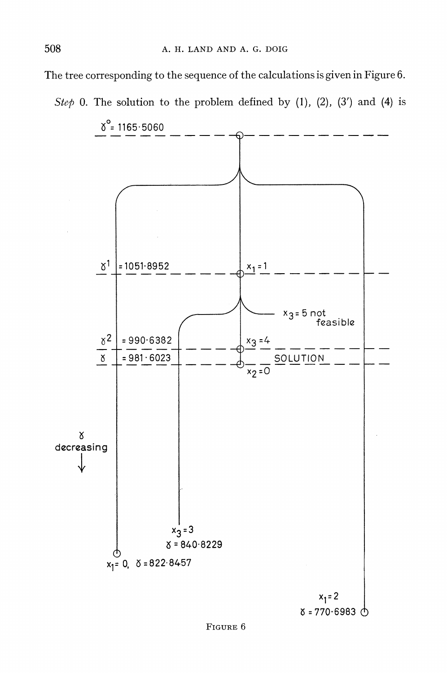The tree corresponding to the sequence of the calculations is given in Figure 6.

*Step* 0. The solution to the problem defined by (1), (2), (3') and (4) is

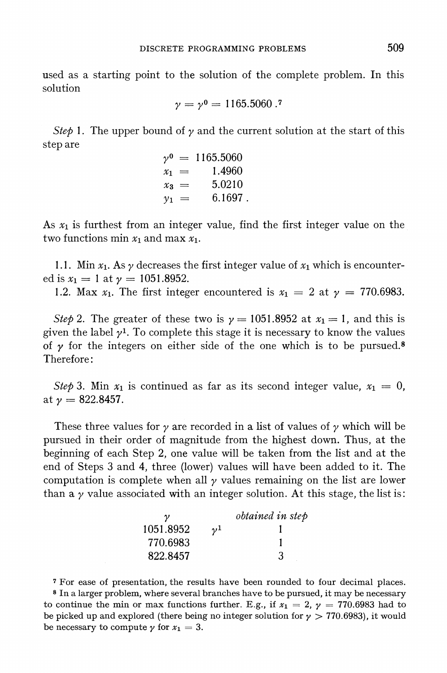used as a starting point to the solution of the complete problem. In this solution

$$
\gamma = \gamma^0 = 1165.5060.7
$$

Step 1. The upper bound of  $\gamma$  and the current solution at the start of this step are

$$
\gamma^0 = 1165.5060\nx_1 = 1.4960\nx_3 = 5.0210\ny_1 = 6.1697.
$$

As  $x_1$  is furthest from an integer value, find the first integer value on the two functions min  $x_1$  and max  $x_1$ .

1.1. Min  $x_1$ . As  $\gamma$  decreases the first integer value of  $x_1$  which is encountered is  $x_1 = 1$  at  $\gamma = 1051.8952$ .

1.2. Max  $x_1$ . The first integer encountered is  $x_1 = 2$  at  $\gamma = 770.6983$ .

Step 2. The greater of these two is  $\gamma = 1051.8952$  at  $x_1 = 1$ , and this is given the label  $\gamma^1$ . To complete this stage it is necessary to know the values of  $\gamma$  for the integers on either side of the one which is to be pursued.<sup>8</sup> Therefore :

Step 3. Min  $x_1$  is continued as far as its second integer value,  $x_1 = 0$ , at  $\nu = 822.8457$ .

These three values for  $\gamma$  are recorded in a list of values of  $\gamma$  which will be pursued in their order of magnitude from the highest down. Thus, at the beginning of each Step 2, one value will be taken from the list and at the end of Steps 3 and 4, three (lower) values will have been added to it. The computation is complete when all  $\gamma$  values remaining on the list are lower than  $a \gamma$  value associated with an integer solution. At this stage, the list is:

|           |         | obtained in step |
|-----------|---------|------------------|
| 1051.8952 | $\nu^1$ |                  |
| 770.6983  |         |                  |
| 822.8457  |         | 3                |

**<sup>7</sup>**For ease of presentation, the results have been rounded to four decimal places. **<sup>8</sup>**In a larger problem, where several branches have to be pursued, it may be necessary to continue the min or max functions further. E.g., if  $x_1 = 2$ ,  $\gamma = 770.6983$  had to be picked up and explored (there being no integer solution for  $\gamma > 770.6983$ ), it would be necessary to compute  $\gamma$  for  $x_1 = 3$ .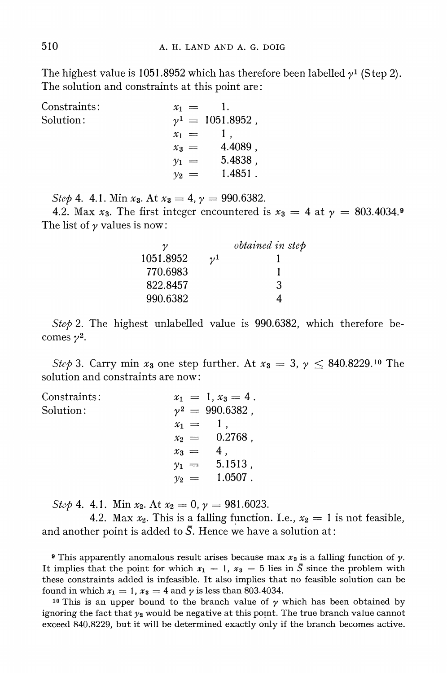The highest value is 1051.8952 which has therefore been labelled  $\gamma^1$  (Step 2). The solution and constraints at this point are :

Constraints :  $x_1 =$ 1. Solution :  $v^1 = 1051.8952$ .  $x_1 = 1$ ,  $x_3 = 4.4089$ ,  $y_1 = 5.4838,$  $v_2 = 1.4851$ .

Step 4. 4.1. Min  $x_3$ . At  $x_3 = 4$ ,  $\gamma = 990.6382$ .

The list of  $\gamma$  values is now: 4.2. Max  $x_3$ . The first integer encountered is  $x_3 = 4$  at  $y = 803.4034$ .

|           |         | obtained in step |
|-----------|---------|------------------|
| 1051.8952 | $\nu^1$ |                  |
| 770.6983  |         |                  |
| 822.8457  |         | З                |
| 990.6382  |         |                  |

Step 2. The highest unlabelled value is 990.6382, which therefore becomes  $\nu^2$ .

Step 3. Carry min  $x_3$  one step further. At  $x_3 = 3$ ,  $\gamma \leq 840.8229$ .<sup>10</sup> The solution and constraints are now:

| Constraints: |             | $x_1 = 1, x_3 = 4$ . |
|--------------|-------------|----------------------|
| Solution:    |             | $v^2 = 990.6382$ ,   |
|              | $x_1 = 1$ . |                      |
|              |             | $x_2 = 0.2768$ ,     |
|              | $x_3 =$     | 4,                   |
|              |             | $v_1 = 5.1513$ ,     |
|              | $y_2 =$     | $1.0507$ .           |

Step 4. 4.1. Min  $x_2$ . At  $x_2 = 0$ ,  $\gamma = 981.6023$ .

4.2. Max  $x_2$ . This is a falling function. I.e.,  $x_2 = 1$  is not feasible, and another point is added to  $\overline{S}$ . Hence we have a solution at:

**9** This apparently anomalous result arises because max  $x_3$  is a falling function of  $\gamma$ . It implies that the point for which  $x_1 = 1$ ,  $x_3 = 5$  lies in  $\overline{S}$  since the problem with these constraints added is infeasible. It also implies that no feasible solution can be found in which  $x_1 = 1$ ,  $x_3 = 4$  and  $\gamma$  is less than 803.4034.

<sup>10</sup> This is an upper bound to the branch value of  $\gamma$  which has been obtained by ignoring the fact that *yz* would be negative at this pornt. The true branch value cannot exceed 840.8229, but it will be determined exactly only if the branch becomes active.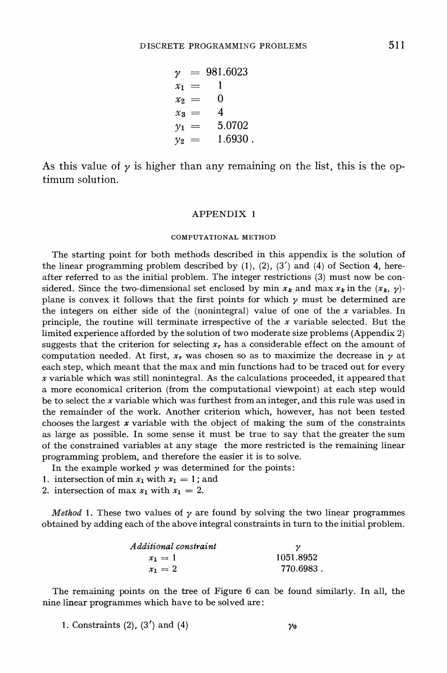$y = 981.6023$  $x_1 =$  $\mathbf{1}$  $\Omega$  $x_2 =$  $x_3 =$  $\overline{4}$  $y_1 = 5.0702$  $v_2 = 1.6930$ .

As this value of  $\gamma$  is higher than any remaining on the list, this is the optimum solution.

#### APPENDIX 1

#### COMPUTATIONAL METHOD

The starting point for both methods described in this appendix is the solution of the linear programming problem described by (I), (2), **(3')** and (4) of Section 4, hereafter referred to as the initial problem. The integer restrictions **(3)** must now be considered. Since the two-dimensional set enclosed by min  $x_k$  and max  $x_k$  in the  $(x_k, y)$ plane is convex it follows that the first points for which  $\gamma$  must be determined are the integers on either side of the (nonintegral) value of one of the  $x$  variables. In principle, the routine will terminate irrespective of the  $x$  variable selected. But the limited experience afforded by the solution of two moderate size problems (Appendix 2) suggests that the criterion for selecting  $x<sub>r</sub>$  has a considerable effect on the amount of computation needed. At first,  $x_r$  was chosen so as to maximize the decrease in  $\gamma$  at each step, which meant that the max and min functions had to be traced out for every  $x$  variable which was still nonintegral. As the calculations proceeded, it appeared that a more economical criterion (from the computational viewpoint) at each step would be to select the  $x$  variable which was furthest from an integer, and this rule was used in the remainder of the work. Another criterion which, however, has not been tested chooses the largest  $x$  variable with the object of making the sum of the constraints as large as possible. In some sense it must be true to say that the greater the sum of the constrained variables at any stage the more restricted is the remaining linear programming problem, and therefore the easier it is to solve.

In the example worked  $\gamma$  was determined for the points:

- 1. intersection of min  $x_1$  with  $x_1 = 1$ ; and
- 2. intersection of max  $x_1$  with  $x_1 = 2$ .

*Method* 1. These two values of  $\gamma$  are found by solving the two linear programmes obtained by adding each of the above integral constraints in turn to the initial problem.

| Additional constraint |           |
|-----------------------|-----------|
| $x_1 = 1$             | 1051.8952 |
| $x_1 = 2$             | 770.6983. |

The remaining points on the tree of Figure 6 can be found similarly. In all, the nine linear programmes which have to be solved are :

1. Constraints  $(2)$ ,  $(3')$  and  $(4)$   $\gamma_0$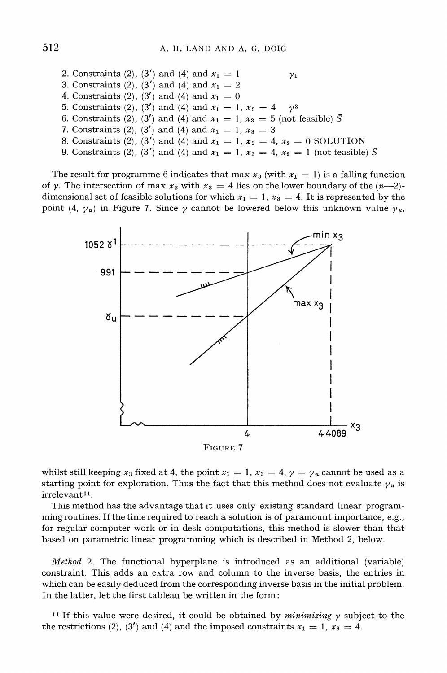2. Constraints (2), (3') and (4) and  $x_1 = 1$   $y_1$ 3. Constraints (2), (3') and (4) and  $x_1 = 2$ 4. Constraints (2), (3<sup>'</sup>) and (4) and  $x_1 = 0$ 5. Constraints (2), (3') and (4) and  $x_1 = 1$ ,  $x_3 = 4$   $y^2$ 6. Constraints (2), (3<sup>'</sup>) and (4) and  $x_1 = 1$ ,  $x_3 = 5$  (not feasible)  $\overline{S}$ **7.** Constraints (2), (3') and (4) and  $x_1 = 1$ ,  $x_3 = 3$ 8. Constraints (2), (3') and (4) and  $x_1 = 1$ ,  $x_3 = 4$ ,  $x_2 = 0$  SOLUTION 9. Constraints (2), (3') and (4) and  $x_1 = 1$ ,  $x_3 = 4$ ,  $x_2 = 1$  (not feasible)  $\overline{S}$ 

The result for programme 6 indicates that max  $x_3$  (with  $x_1 = 1$ ) is a falling function of y. The intersection of max  $x_3$  with  $x_3 = 4$  lies on the lower boundary of the  $(n-2)$ dimensional set of feasible solutions for which  $x_1 = 1$ ,  $x_3 = 4$ . It is represented by the point (4,  $\gamma_u$ ) in Figure 7. Since  $\gamma$  cannot be lowered below this unknown value  $\gamma_u$ ,



whilst still keeping  $x_3$  fixed at 4, the point  $x_1 = 1$ ,  $x_3 = 4$ ,  $y = y_u$  cannot be used as a starting point for exploration. Thus the fact that this method does not evaluate  $\gamma_u$  is irrelevant<sup>11</sup>.

This method has the advantage that it uses only existing standard linear programmingroutines. If the time required to reach a solution is of paramount importance, e.g., for regular computer work or in desk computations, this method is slower than that based on parametric linear programming which is described in Method 2, below.

*Method* 2. The functional hyperplane is introduced as an additional (variable) constraint. This adds an extra row and column to the inverse basis, the entries in which can be easily deduced from the corresponding inverse basis in the initial problem. In the latter, let the first tableau be written in the form:

11 If this value were desired, it could be obtained by *minimizing* y subject to the the restrictions (2), (3') and (4) and the imposed constraints  $x_1 = 1$ ,  $x_3 = 4$ .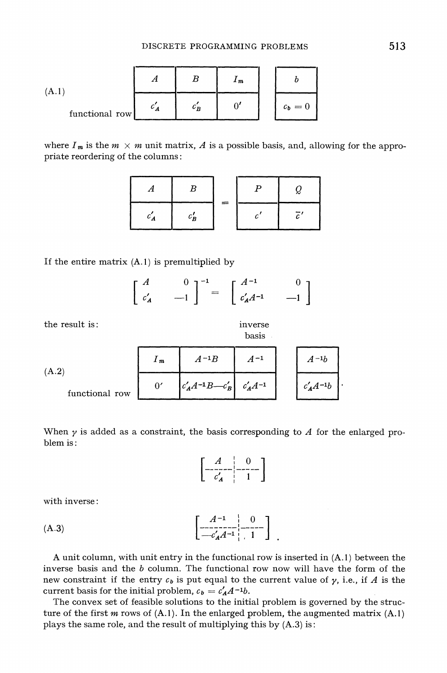(A.1)  
\n
$$
\begin{array}{|c|c|c|}\n\hline\nA & B & I_m \\
\hline\nc'_A & c'_B & 0' \\
\hline\n\end{array}
$$
\nfunctional row

where  $I_m$  is the  $m \times m$  unit matrix, A is a possible basis, and, allowing for the appropriate reordering of the columns :

| $c_B$ |  |  |
|-------|--|--|

If the entire matrix  $(A.1)$  is premultiplied by

| r $A$                                |  |                                                                                                                                         |                                         |
|--------------------------------------|--|-----------------------------------------------------------------------------------------------------------------------------------------|-----------------------------------------|
| $\begin{array}{cc} c'_A \end{array}$ |  | $\begin{bmatrix} 0 \\ -1 \end{bmatrix}^{-1} = \begin{bmatrix} A^{-1} \\ c'_A \end{bmatrix}$<br>$\left\lfloor c'_A A^{-1} \right\rfloor$ | $\begin{bmatrix} 0 \\ -1 \end{bmatrix}$ |

the result is: inverse

basis

| (A.2)          | $1 \, m$ | $A^{-1}B$                            | $A^{-1}$      | $-1b$<br>A     |
|----------------|----------|--------------------------------------|---------------|----------------|
| functional row |          | $\left  c'_{A}A^{-1}B-c'_{B}\right $ | $c'_A A^{-1}$ | $c'_A A^{-1}b$ |

When  $\gamma$  is added as a constraint, the basis corresponding to  $\Lambda$  for the enlarged problem is :

$$
\left[\begin{array}{c|c} A & 0 \\ \hline c'_A & 1 \end{array}\right]
$$

with inverse

(A.3) 
$$
\begin{bmatrix} A^{-1} & 0 \\ -C_{A}A^{-1} & 1 \end{bmatrix}
$$

**A** unit column, with unit entry in the functional row is inserted in **(A.1)**between the inverse basis and the *b* column. The functional row now will have the form of the new constraint if the entry  $c_b$  is put equal to the current value of  $\gamma$ , i.e., if *A* is the current basis for the initial problem,  $c_b = c'_A A^{-1} b$ .

The convex set of feasible solutions to the initial problem is governed by the structure of the first m rows of **(A.**I). In the enlarged problem, the augmented matrix **(A.I)**  plays the same role, and the result of multiplying this by **(A.3)**is: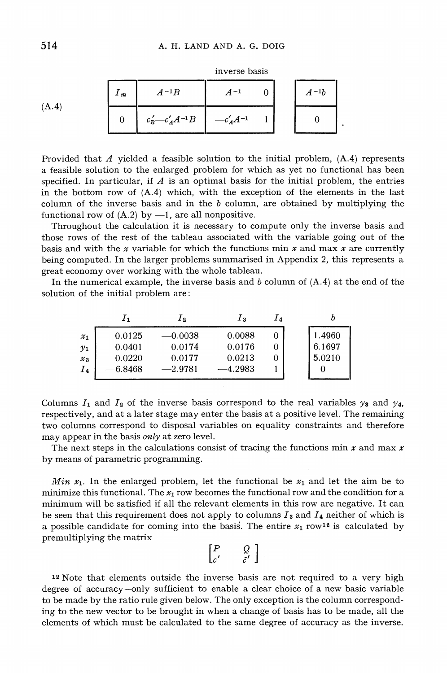|       | $1 \, m$ | $A^{-1}B$                     | $A-1$           |  | $A^{-1}b$ |  |
|-------|----------|-------------------------------|-----------------|--|-----------|--|
| (A.4) |          | $c'_B\!\!-\!\!-c'_A\!A^{-1}B$ | $-c'_{A}A^{-1}$ |  |           |  |

inverse basis

Provided that A yielded a feasible solution to the initial problem, **(A.4)** represents a feasible solution to the enlarged problem for which as yet no functional has been specified. In particular, if  $A$  is an optimal basis for the initial problem, the entries in the bottom row of **(A.4)** which, with the exception of the elements in the last column of the inverse basis and in the  $b$  column, are obtained by multiplying the functional row of  $(A.2)$  by  $-1$ , are all nonpositive.

Throughout the calculation it is necessary to compute only the inverse basis and those rows of the rest of the tableau associated with the variable going out of the basis and with the x variable for which the functions min x and max x are currently being computed. In the larger problems summarised in Appendix 2, this represents a great economy over working with the whole tableau.

In the numerical example, the inverse basis and b column of **(A.4)**at the end of the solution of the initial problem are:

|                 |        | 1 <sub>2</sub> | 1з     | <b>14</b> |        |
|-----------------|--------|----------------|--------|-----------|--------|
| $x_1$           | 0.0125 | $-0.0038$      | 0.0088 |           | 1.4960 |
| $\mathcal{Y}_1$ | 0.0401 | 0.0174         | 0.0176 | 0         | 6.1697 |
| $\mathcal{X}_3$ | 0.0220 | 0.0177         | 0.0213 | 0         | 5.0210 |
| $I_4$           | 6.8468 | $-2.9781$      | 4.2983 |           |        |
|                 |        |                |        |           |        |

Columns  $I_1$  and  $I_2$  of the inverse basis correspond to the real variables  $\gamma_3$  and  $\gamma_4$ , respectively, and at a later stage may enter the basis at a positive level. The remaining two columns correspond to disposal variables on equality constraints and therefore may appear in the basis *only* at zero level.

The next steps in the calculations consist of tracing the functions min  $x$  and max  $x$ by means of parametric programming.

*Min*  $x_1$ *.* In the enlarged problem, let the functional be  $x_1$  and let the aim be to minimize this functional. The  $x_1$  row becomes the functional row and the condition for a minimum will be satisfied if all the relevant elements in this row are negative. It can be seen that this requirement does not apply to columns  $I_3$  and  $I_4$  neither of which is a possible candidate for coming into the basis. The entire  $x_1$  row<sup>12</sup> is calculated by premultiplying the matrix

$$
\begin{bmatrix} P & Q \\ c' & \tilde{c}' \end{bmatrix}
$$

12 Note that elements outside the inverse basis are not required to a very high degree of accuracy-only sufficient to enable a clear choice of a new basic variable to be made by the ratio rule given below. The only exception is the column corresponding to the new vector to be brought in when a change of basis has to be made, all the elements of which must be calculated to the same degree of accuracy as the inverse.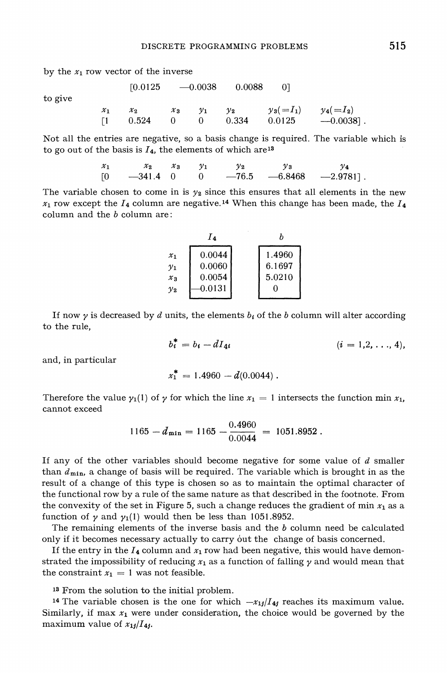by the  $x_1$  row vector of the inverse

to give

|                 | [0.0125]    |                 |       | $-0.0038$ $0.0088$ | -01          |              |
|-----------------|-------------|-----------------|-------|--------------------|--------------|--------------|
| $\mathcal{X}_1$ | $\chi_{2}$  | $\mathcal{X}_3$ | $v_1$ | $v_{2}$            | $y_3 (=I_1)$ | $y_4(=I_2)$  |
| $\Box$          | $0.524$ 0 0 |                 |       | 0.334              | 0.0125       | $-0.0038$ ]. |

Not all the entries are negative, so a basis change is required. The variable which is to go out of the basis is  $I_4$ , the elements of which are<sup>13</sup>

> $x_1$  $\mathcal{X}_{2}$  $x_{3}$  $y_2$  $\nu_3$  $\mathcal{Y}_1$  $\nu_4$  $\Gamma$ <sup>O</sup>  $-341.4$  0  $\Omega$  $-76.5$  $-6.8468$  $-2.9781$ .

The variable chosen to come in is  $y_2$  since this ensures that all elements in the new  $x_1$  row except the  $I_4$  column are negative.<sup>14</sup> When this change has been made, the  $I_4$ column and the b column are:

|                          | ĪΔ               |                  |
|--------------------------|------------------|------------------|
| $\mathcal{X}_1$<br>$y_1$ | 0.0044<br>0.0060 | 1.4960<br>6.1697 |
| $\mathcal{X}_{3}$        | 0.0054           | 5.0210           |
| $\mathcal{V}_2$          | 0.0131           | 0                |

If now  $\gamma$  is decreased by *d* units, the elements  $b_i$  of the *b* column will alter according to the rule,

$$
b_i^* = b_i - dI_{4i} \qquad (i = 1, 2, ..., 4),
$$

and, in particular

$$
x_1^* = 1.4960 - d(0.0044) .
$$

Therefore the value  $\gamma_1(1)$  of  $\gamma$  for which the line  $x_1 = 1$  intersects the function min  $x_1$ , cannot exceed

$$
1165 - d_{\min} = 1165 - \frac{0.4960}{0.0044} = 1051.8952.
$$

If any of the other variables should become negative for some value of *d* smaller than  $d_{\min}$ , a change of basis will be required. The variable which is brought in as the result of a change of this type is chosen so as to maintain the optimal character of the functional row by a rule of the same nature as that described in the footnote. From the convexity of the set in Figure 5, such a change reduces the gradient of min  $x_1$  as a function of  $\gamma$  and  $\gamma_1(1)$  would then be less than 1051.8952.

The remaining elements of the inverse basis and the  $b$  column need be calculated only if it becomes necessary actually to carry out the change of basis concerned.

If the entry in the  $I_4$  column and  $x_1$  row had been negative, this would have demonstrated the impossibility of reducing  $x_1$  as a function of falling  $\gamma$  and would mean that the constraint  $x_1 = 1$  was not feasible.

13 From the solution to the initial problem.

<sup>14</sup> The variable chosen is the one for which  $-x_{1}/I_{4}$  reaches its maximum value. Similarly, if max  $x_1$  were under consideration, the choice would be governed by the maximum value of  $x_{1/1}I_{4/}$ .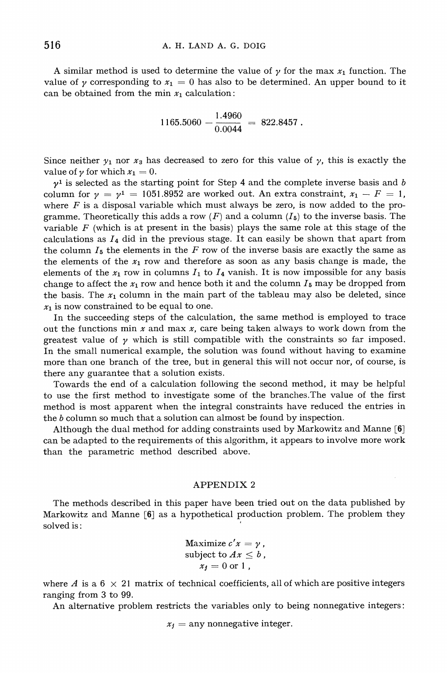A similar method is used to determine the value of  $\gamma$  for the max  $x_1$  function. The value of y corresponding to  $x_1 = 0$  has also to be determined. An upper bound to it can be obtained from the min  $x_1$  calculation:

 $1165.5060 - \frac{1.4960}{0.0044} = 822.8457$ .

Since neither  $y_1$  nor  $x_3$  has decreased to zero for this value of y, this is exactly the value of  $\gamma$  for which  $x_1 = 0$ .

 $\gamma^1$  is selected as the starting point for Step 4 and the complete inverse basis and b column for  $\gamma = \gamma^1 = 1051.8952$  are worked out. An extra constraint,  $x_1 - F = 1$ , where  $F$  is a disposal variable which must always be zero, is now added to the programme. Theoretically this adds a row  $(F)$  and a column  $(I_5)$  to the inverse basis. The variable  $F$  (which is at present in the basis) plays the same role at this stage of the calculations as  $I_4$  did in the previous stage. It can easily be shown that apart from the column  $I_5$  the elements in the F row of the inverse basis are exactly the same as the elements of the  $x_1$  row and therefore as soon as any basis change is made, the elements of the  $x_1$  row in columns  $I_1$  to  $I_4$  vanish. It is now impossible for any basis change to affect the  $x_1$  row and hence both it and the column  $I_5$  may be dropped from the basis. The  $x_1$  column in the main part of the tableau may also be deleted, since  $x_1$  is now constrained to be equal to one.

In the succeeding steps of the calculation, the same method is employed to trace out the functions min  $x$  and max  $x$ , care being taken always to work down from the greatest value of  $\gamma$  which is still compatible with the constraints so far imposed. In the small numerical example, the solution was found without having to examine more than one branch of the tree, but in general this will not occur nor, of course, is there any guarantee that a solution exists.

Towards the end of a calculation following the second method, it may be helpful to use the first method to investigate some of the branches.The value of the first method is most apparent when the integral constraints have reduced the entries in the b column so much that a solution can almost be found by inspection.

Although the dual method for adding constraints used by Markowitz and Manne *[6]*  can be adapted to the requirements of this algorithm, it appears to involve more work than the parametric method described above.

#### APPENDIX 2

The methods described in this paper have been tried out on the data published by Markowitz and Manne **[6]** as a hypothetical production problem. The problem they solved is :

Maximize 
$$
c'x = \gamma
$$
,  
subject to  $Ax \leq b$ ,  
 $x_j = 0$  or 1,

where A is a  $6 \times 21$  matrix of technical coefficients, all of which are positive integers ranging from **3** to 99.

An alternative problem restricts the variables only to being nonnegative integers:

 $x_i$  = any nonnegative integer.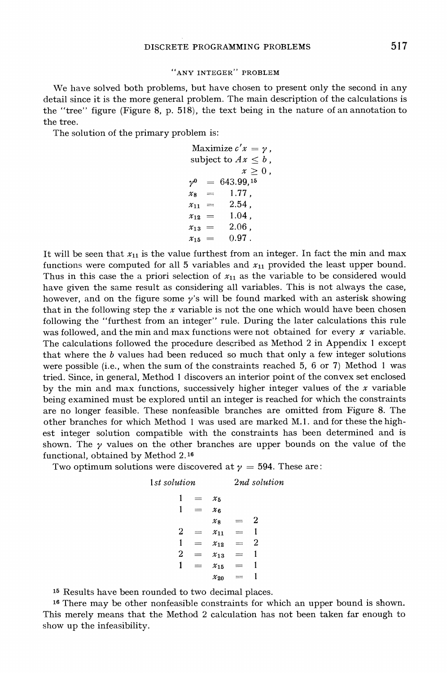#### "ANY INTEGER" PROBLEM

We have solved both problems, but have chosen to present only the second in any detail since it is the more general problem. The main description of the calculations is the "tree" figure (Figure 8, p. 518), the text being in the nature of an annotation to the tree.

The solution of the primary problem is:

```
Maximize c'x = y,
subject to Ax \leq b,
            x > 0.
v^0 = 643.99.15
x_8 = 1.77.
x_{11} = 2.54,
x_{12} = 1.04.
x_{13} = 2.06,
x_{15} = 0.97.
```
It will be seen that  $x_{11}$  is the value furthest from an integer. In fact the min and max functions were computed for all 5 variables and  $x_{11}$  provided the least upper bound. Thus in this case the a priori selection of  $x_{11}$  as the variable to be considered would have given the same result as considering all variables. This is not always the case, however, and on the figure some  $\gamma$ 's will be found marked with an asterisk showing that in the following step the  $x$  variable is not the one which would have been chosen following the "furthest from an integer" rule. During the later calculations this rule was followed, and the min and max functions were not obtained for every  $x$  variable. The calculations followed the procedure described as Method 2 in Appendix 1 except that where the b values had been reduced so much that only a few integer solutions were possible (i.e., when the sum of the constraints reached 5, 6 or 7) Method 1 was tried. Since, in general, Method 1 discovers an interior point of the convex set enclosed by the min and max functions, successively higher integer values of the  $x$  variable being examined must be explored until an integer is reached for which the constraints are no longer feasible. These nonfeasible branches are omitted from Figure 8. The other branches for which Method 1 was used are marked M.1. and for these the highest integer solution compatible with the constraints has been determined and is shown. The  $\gamma$  values on the other branches are upper bounds on the value of the functional, obtained by Method 2.16

Two optimum solutions were discovered at  $y = 594$ . These are:

1st solution  
\n
$$
1 = x_5
$$
\n
$$
1 = x_6
$$
\n
$$
x_8 = 2
$$
\n
$$
2 = x_{11} = 1
$$
\n
$$
1 = x_{12} = 2
$$
\n
$$
2 = x_{13} = 1
$$
\n
$$
1 = x_{15} = 1
$$
\n
$$
x_{20} = 1
$$

15 Results have been rounded to two decimal places.

16 There may be other nonfeasible constraints for which an upper bound is shown. This merely means that the Method 2 calculation has not been taken far enough to show up the infeasibility.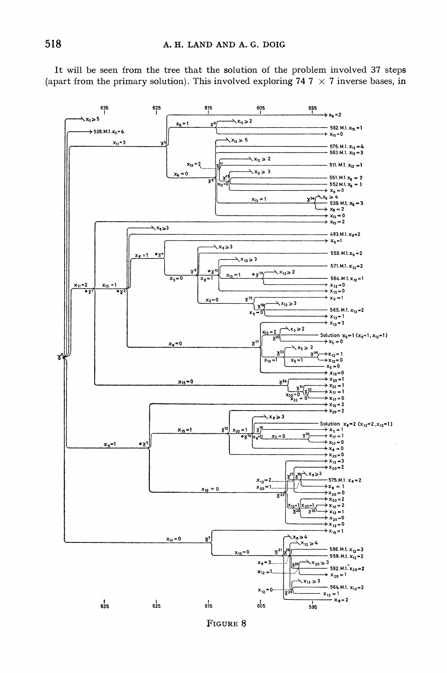It will be seen from the tree that the solution of the problem involved 37 steps (apart from the primary solution). This involved exploring  $74.7 \times 7$  inverse bases, in



FIGURE 8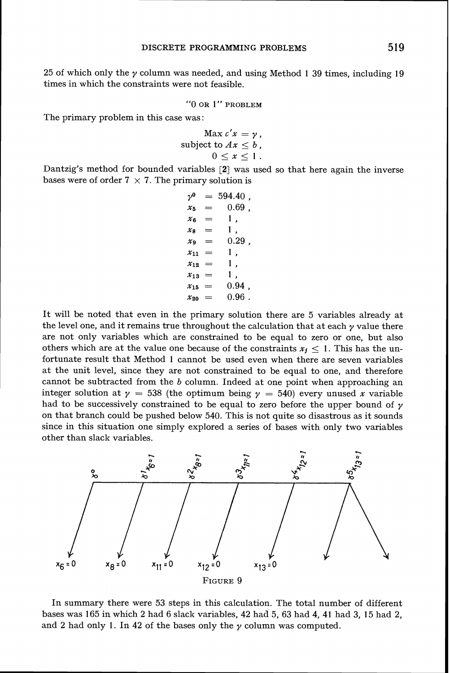**25** of which only the y column was needed, and using Method **1 39** times, including **19**  times in which the constraints were not feasible.

**''0 OR 1" PROBLEM** 

The primary problem in this case was :

$$
\begin{array}{c}\n\text{Max } c'x = \gamma \,, \\
\text{subject to } Ax \leq b \,, \\
0 \leq x \leq 1 \,.\n\end{array}
$$

Dantzig's method for bounded variables [2] was used so that here again the inverse bases were of order  $7 \times 7$ . The primary solution is

> $v^0$  $= 594.40$ .  $0.69$ .  $\chi_{\textrm{K}}$ 1,  $x_{\alpha}$  $=$  $x_{\mathbf{a}}$  $1,$  $0.29$ .  $x_{\alpha}$ 1,  $x_{11} =$  $x_{12} =$  $1$ . 1,  $x_{13} =$  $0.94$ ,  $x_{15} =$  $0.96.$  $x_{20} =$

It will be noted that even in the primary solution there are **5** variables already at the level one, and it remains true throughout the calculation that at each  $\gamma$  value there are not only variables which are constrained to be equal to zero or one, but also others which are at the value one because of the constraints  $x_j \leq 1$ . This has the unfortunate result that Method **1** cannot be used even when there are seven variables at the unit level, since they are not constrained to be equal to one, and therefore cannot be subtracted from the  $b$  column. Indeed at one point when approaching an integer solution at  $\gamma = 538$  (the optimum being  $\gamma = 540$ ) every unused x variable had to be successively constrained to be equal to zero before the upper bound of  $\gamma$ on that branch could be pushed below **540.** This is not quite so disastrous as it sounds since in this situation one simply explored a series of bases with only two variables other than slack variables.



In summary there were **53** steps in this calculation. The total number of different bases was **165** in which **2** had **6** slack variables, **42** had **5, 63** had **4, 41** had **3, 15** had **2,**  and 2 had only 1. In 42 of the bases only the  $\gamma$  column was computed.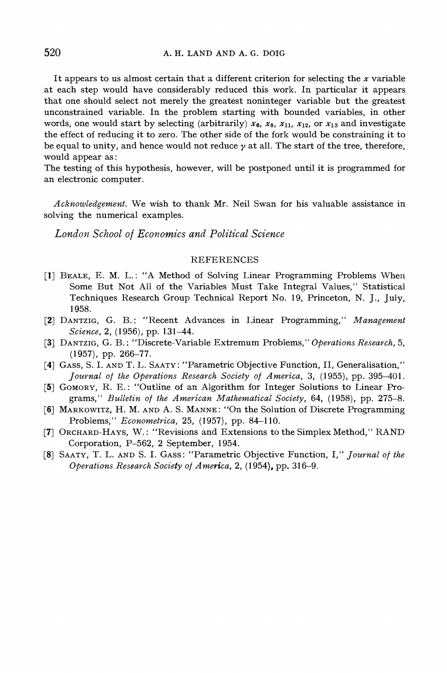It appears to us almost certain that a different criterion for selecting the  $x$  variable at each step would have considerably reduced this work. In particular it appears that one should select not merely the greatest noninteger variable but the greatest unconstrained variable. In the problem starting with bounded variables, in other words, one would start by selecting (arbitrarily)  $x_6$ ,  $x_8$ ,  $x_{11}$ ,  $x_{12}$ , or  $x_{13}$  and investigate the effect of reducing it to zero. The other side of the fork would be constraining it to be equal to unity, and hence would not reduce  $\gamma$  at all. The start of the tree, therefore, would appear as:

The testing of this hypothesis, however, will be postponed until it is programmed for an electronic computer.

*Acknowledgement.* We wish to thank Mr. Neil Swan for his valuable assistance in solving the numerical examples.

London School of Economics and Political Science

#### **REFERENCES**

- [1] BEALE, E. M. L.: "A Method of Solving Linear Programming Problems When Some But Not All of the Variables Must Take Integral Values," Statistical Techniques Research Group Technical Report No. 19, Princeton, N. J., July, 1958.
- [2] DANTZIG, G. B.: "Recent Advances in Linear Programming," Management *Science,* 2, (1956), pp. 131-44.
- **[3]** DANTZIG, G. B.: "Discrete-Variable Extremum Problems," *Opevations Research,* 5,  $(1957)$ , pp. 266-77.
- **[4]** GASS, S. I. AND T. L. SAATY: "Parametric Objective Function, 11, Generalisation," *Jouvnal of the Opevations Research Society of Awzevica, 3,* (1955), pp. 395-401.
- [5] GOMORY, R. E.: "Outline of an Algorithm for Integer Solutions to Linear Programs," *Bulletin of the Amevican Mathematical Society,* 64, (1958), pp. 275-8.
- [6] MARKOWITZ, H. M. AND A. S. MANNE: "On the Solution of Discrete Programming Problems," *Econometvica,* 25, (1957), pp. 84-1 10.
- [7] ORCHARD-HAYS, W. : "Revisions and Extensions to the Simplex Method," RAND Corporation, P-562, 2 September, 1954.
- **[S]**  SAATY,T. L. AND S. I. GASS: "Parametric Objective Function, I," *Jouvnal of the Operations Research Society of America, 2, (1954), pp. 316–9.*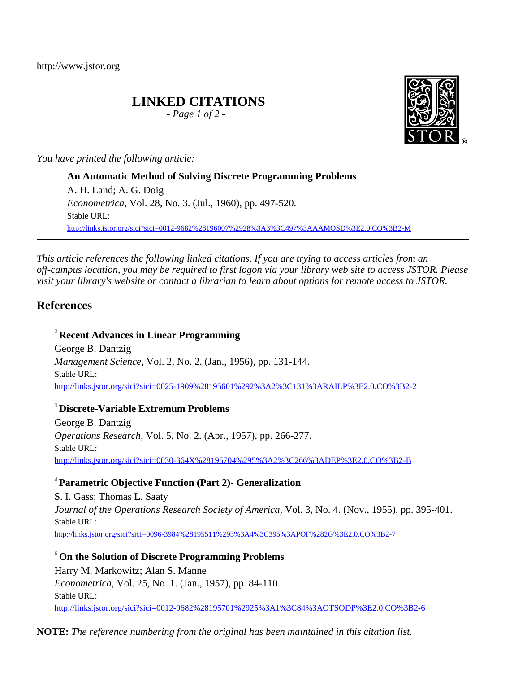http://www.jstor.org

# **LINKED CITATIONS**

*- Page 1 of 2 -*

*You have printed the following article:*

**An Automatic Method of Solving Discrete Programming Problems** A. H. Land; A. G. Doig *Econometrica*, Vol. 28, No. 3. (Jul., 1960), pp. 497-520. Stable URL: [http://links.jstor.org/sici?sici=0012-9682%28196007%2928%3A3%3C497%3AAAMOSD%3E2.0.CO%3B2-M](http://links.jstor.org/sici?sici=0012-9682%28196007%2928%3A3%3C497%3AAAMOSD%3E2.0.CO%3B2-M&origin=JSTOR-pdf)

*This article references the following linked citations. If you are trying to access articles from an off-campus location, you may be required to first logon via your library web site to access JSTOR. Please visit your library's website or contact a librarian to learn about options for remote access to JSTOR.*

# **References**

**<sup>2</sup> Recent Advances in Linear Programming** George B. Dantzig *Management Science*, Vol. 2, No. 2. (Jan., 1956), pp. 131-144. Stable URL: [http://links.jstor.org/sici?sici=0025-1909%28195601%292%3A2%3C131%3ARAILP%3E2.0.CO%3B2-2](http://links.jstor.org/sici?sici=0025-1909%28195601%292%3A2%3C131%3ARAILP%3E2.0.CO%3B2-2&origin=JSTOR-pdf)

## **<sup>3</sup> Discrete-Variable Extremum Problems**

George B. Dantzig *Operations Research*, Vol. 5, No. 2. (Apr., 1957), pp. 266-277. Stable URL: [http://links.jstor.org/sici?sici=0030-364X%28195704%295%3A2%3C266%3ADEP%3E2.0.CO%3B2-B](http://links.jstor.org/sici?sici=0030-364X%28195704%295%3A2%3C266%3ADEP%3E2.0.CO%3B2-B&origin=JSTOR-pdf)

## **<sup>4</sup>Parametric Objective Function (Part 2)- Generalization**

S. I. Gass; Thomas L. Saaty *Journal of the Operations Research Society of America*, Vol. 3, No. 4. (Nov., 1955), pp. 395-401. Stable URL: [http://links.jstor.org/sici?sici=0096-3984%28195511%293%3A4%3C395%3APOF%282G%3E2.0.CO%3B2-7](http://links.jstor.org/sici?sici=0096-3984%28195511%293%3A4%3C395%3APOF%282G%3E2.0.CO%3B2-7&origin=JSTOR-pdf)

**<sup>6</sup>On the Solution of Discrete Programming Problems** Harry M. Markowitz; Alan S. Manne *Econometrica*, Vol. 25, No. 1. (Jan., 1957), pp. 84-110. Stable URL: [http://links.jstor.org/sici?sici=0012-9682%28195701%2925%3A1%3C84%3AOTSODP%3E2.0.CO%3B2-6](http://links.jstor.org/sici?sici=0012-9682%28195701%2925%3A1%3C84%3AOTSODP%3E2.0.CO%3B2-6&origin=JSTOR-pdf)

**NOTE:** *The reference numbering from the original has been maintained in this citation list.*